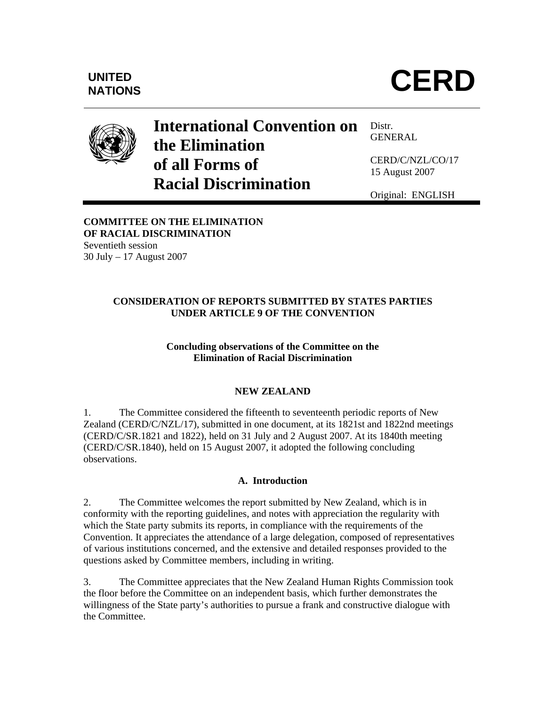

# **International Convention on the Elimination of all Forms of Racial Discrimination**

Distr. GENERAL

CERD/C/NZL/CO/17 15 August 2007

Original: ENGLISH

## **COMMITTEE ON THE ELIMINATION OF RACIAL DISCRIMINATION**  Seventieth session

30 July – 17 August 2007

# **CONSIDERATION OF REPORTS SUBMITTED BY STATES PARTIES UNDER ARTICLE 9 OF THE CONVENTION**

# **Concluding observations of the Committee on the Elimination of Racial Discrimination**

# **NEW ZEALAND**

1. The Committee considered the fifteenth to seventeenth periodic reports of New Zealand (CERD/C/NZL/17), submitted in one document, at its 1821st and 1822nd meetings (CERD/C/SR.1821 and 1822), held on 31 July and 2 August 2007. At its 1840th meeting (CERD/C/SR.1840), held on 15 August 2007, it adopted the following concluding observations.

# **A. Introduction**

2. The Committee welcomes the report submitted by New Zealand, which is in conformity with the reporting guidelines, and notes with appreciation the regularity with which the State party submits its reports, in compliance with the requirements of the Convention. It appreciates the attendance of a large delegation, composed of representatives of various institutions concerned, and the extensive and detailed responses provided to the questions asked by Committee members, including in writing.

3. The Committee appreciates that the New Zealand Human Rights Commission took the floor before the Committee on an independent basis, which further demonstrates the willingness of the State party's authorities to pursue a frank and constructive dialogue with the Committee.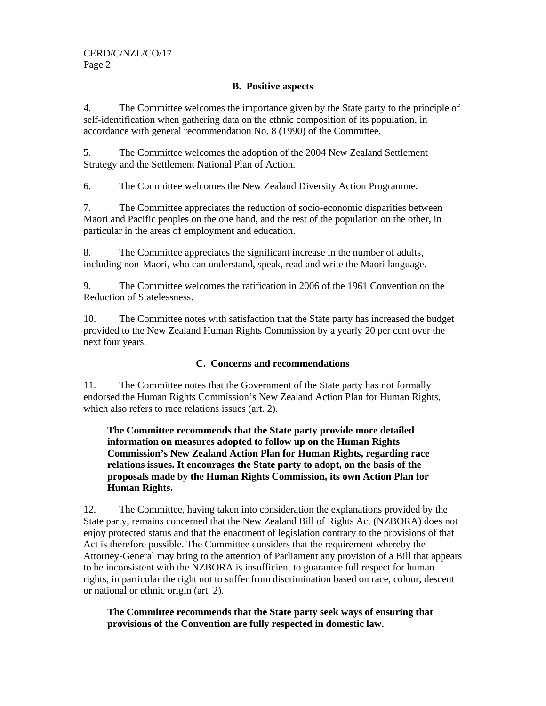#### **B. Positive aspects**

4. The Committee welcomes the importance given by the State party to the principle of self-identification when gathering data on the ethnic composition of its population, in accordance with general recommendation No. 8 (1990) of the Committee.

5. The Committee welcomes the adoption of the 2004 New Zealand Settlement Strategy and the Settlement National Plan of Action.

6. The Committee welcomes the New Zealand Diversity Action Programme.

7. The Committee appreciates the reduction of socio-economic disparities between Maori and Pacific peoples on the one hand, and the rest of the population on the other, in particular in the areas of employment and education.

8. The Committee appreciates the significant increase in the number of adults, including non-Maori, who can understand, speak, read and write the Maori language.

9. The Committee welcomes the ratification in 2006 of the 1961 Convention on the Reduction of Statelessness.

10. The Committee notes with satisfaction that the State party has increased the budget provided to the New Zealand Human Rights Commission by a yearly 20 per cent over the next four years.

#### **C. Concerns and recommendations**

11. The Committee notes that the Government of the State party has not formally endorsed the Human Rights Commission's New Zealand Action Plan for Human Rights, which also refers to race relations issues (art. 2).

# **The Committee recommends that the State party provide more detailed information on measures adopted to follow up on the Human Rights Commission's New Zealand Action Plan for Human Rights, regarding race relations issues. It encourages the State party to adopt, on the basis of the proposals made by the Human Rights Commission, its own Action Plan for Human Rights.**

12. The Committee, having taken into consideration the explanations provided by the State party, remains concerned that the New Zealand Bill of Rights Act (NZBORA) does not enjoy protected status and that the enactment of legislation contrary to the provisions of that Act is therefore possible. The Committee considers that the requirement whereby the Attorney-General may bring to the attention of Parliament any provision of a Bill that appears to be inconsistent with the NZBORA is insufficient to guarantee full respect for human rights, in particular the right not to suffer from discrimination based on race, colour, descent or national or ethnic origin (art. 2).

**The Committee recommends that the State party seek ways of ensuring that provisions of the Convention are fully respected in domestic law.**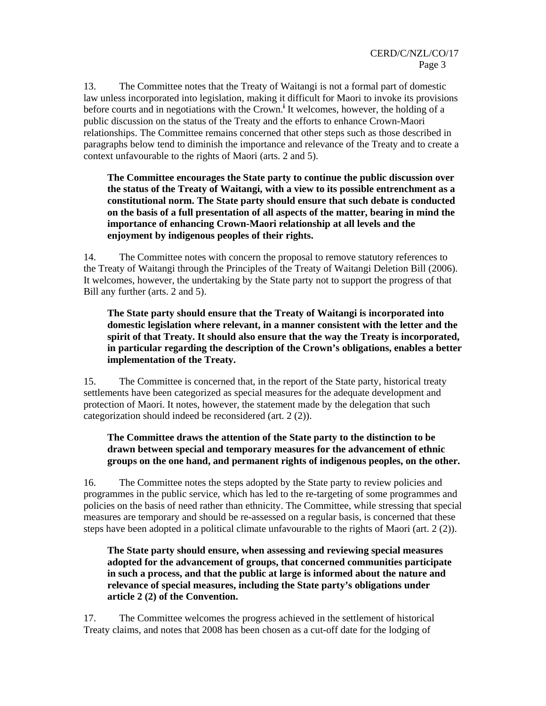13. The Committee notes that the Treaty of Waitangi is not a formal part of domestic law unless incorporated into legislation, making it difficult for Maori to invoke its provisions before courts and in negotiations with the Crown.<sup>i</sup> It welcomes, however, the holding of a public discussion on the status of the Treaty and the efforts to enhance Crown-Maori relationships. The Committee remains concerned that other steps such as those described in paragraphs below tend to diminish the importance and relevance of the Treaty and to create a context unfavourable to the rights of Maori (arts. 2 and 5).

**The Committee encourages the State party to continue the public discussion over the status of the Treaty of Waitangi, with a view to its possible entrenchment as a constitutional norm. The State party should ensure that such debate is conducted on the basis of a full presentation of all aspects of the matter, bearing in mind the importance of enhancing Crown-Maori relationship at all levels and the enjoyment by indigenous peoples of their rights.** 

14. The Committee notes with concern the proposal to remove statutory references to the Treaty of Waitangi through the Principles of the Treaty of Waitangi Deletion Bill (2006). It welcomes, however, the undertaking by the State party not to support the progress of that Bill any further (arts. 2 and 5).

**The State party should ensure that the Treaty of Waitangi is incorporated into domestic legislation where relevant, in a manner consistent with the letter and the spirit of that Treaty. It should also ensure that the way the Treaty is incorporated, in particular regarding the description of the Crown's obligations, enables a better implementation of the Treaty.** 

15. The Committee is concerned that, in the report of the State party, historical treaty settlements have been categorized as special measures for the adequate development and protection of Maori. It notes, however, the statement made by the delegation that such categorization should indeed be reconsidered (art. 2 (2)).

## **The Committee draws the attention of the State party to the distinction to be drawn between special and temporary measures for the advancement of ethnic groups on the one hand, and permanent rights of indigenous peoples, on the other.**

16. The Committee notes the steps adopted by the State party to review policies and programmes in the public service, which has led to the re-targeting of some programmes and policies on the basis of need rather than ethnicity. The Committee, while stressing that special measures are temporary and should be re-assessed on a regular basis, is concerned that these steps have been adopted in a political climate unfavourable to the rights of Maori (art. 2 (2)).

## **The State party should ensure, when assessing and reviewing special measures adopted for the advancement of groups, that concerned communities participate in such a process, and that the public at large is informed about the nature and relevance of special measures, including the State party's obligations under article 2 (2) of the Convention.**

17. The Committee welcomes the progress achieved in the settlement of historical Treaty claims, and notes that 2008 has been chosen as a cut-off date for the lodging of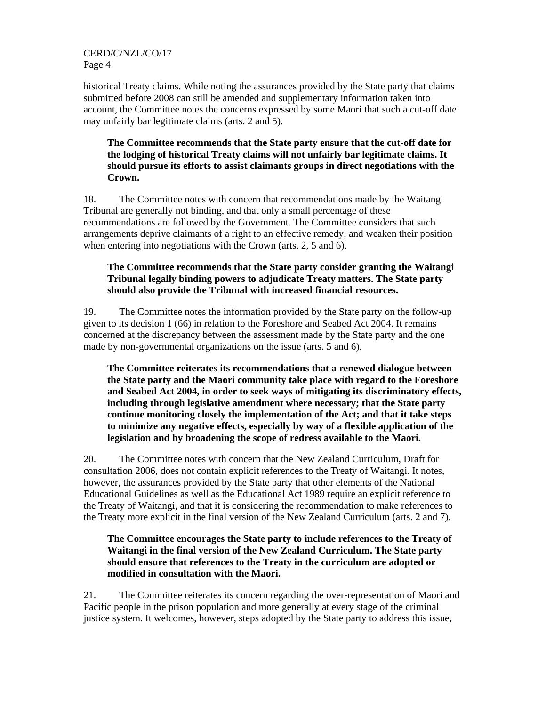#### CERD/C/NZL/CO/17 Page 4

historical Treaty claims. While noting the assurances provided by the State party that claims submitted before 2008 can still be amended and supplementary information taken into account, the Committee notes the concerns expressed by some Maori that such a cut-off date may unfairly bar legitimate claims (arts. 2 and 5).

## **The Committee recommends that the State party ensure that the cut-off date for the lodging of historical Treaty claims will not unfairly bar legitimate claims. It should pursue its efforts to assist claimants groups in direct negotiations with the Crown.**

18. The Committee notes with concern that recommendations made by the Waitangi Tribunal are generally not binding, and that only a small percentage of these recommendations are followed by the Government. The Committee considers that such arrangements deprive claimants of a right to an effective remedy, and weaken their position when entering into negotiations with the Crown (arts. 2, 5 and 6).

# **The Committee recommends that the State party consider granting the Waitangi Tribunal legally binding powers to adjudicate Treaty matters. The State party should also provide the Tribunal with increased financial resources.**

19. The Committee notes the information provided by the State party on the follow-up given to its decision 1 (66) in relation to the Foreshore and Seabed Act 2004. It remains concerned at the discrepancy between the assessment made by the State party and the one made by non-governmental organizations on the issue (arts. 5 and 6).

**The Committee reiterates its recommendations that a renewed dialogue between the State party and the Maori community take place with regard to the Foreshore and Seabed Act 2004, in order to seek ways of mitigating its discriminatory effects, including through legislative amendment where necessary; that the State party continue monitoring closely the implementation of the Act; and that it take steps to minimize any negative effects, especially by way of a flexible application of the legislation and by broadening the scope of redress available to the Maori.** 

20. The Committee notes with concern that the New Zealand Curriculum, Draft for consultation 2006, does not contain explicit references to the Treaty of Waitangi. It notes, however, the assurances provided by the State party that other elements of the National Educational Guidelines as well as the Educational Act 1989 require an explicit reference to the Treaty of Waitangi, and that it is considering the recommendation to make references to the Treaty more explicit in the final version of the New Zealand Curriculum (arts. 2 and 7).

# **The Committee encourages the State party to include references to the Treaty of Waitangi in the final version of the New Zealand Curriculum. The State party should ensure that references to the Treaty in the curriculum are adopted or modified in consultation with the Maori.**

21. The Committee reiterates its concern regarding the over-representation of Maori and Pacific people in the prison population and more generally at every stage of the criminal justice system. It welcomes, however, steps adopted by the State party to address this issue,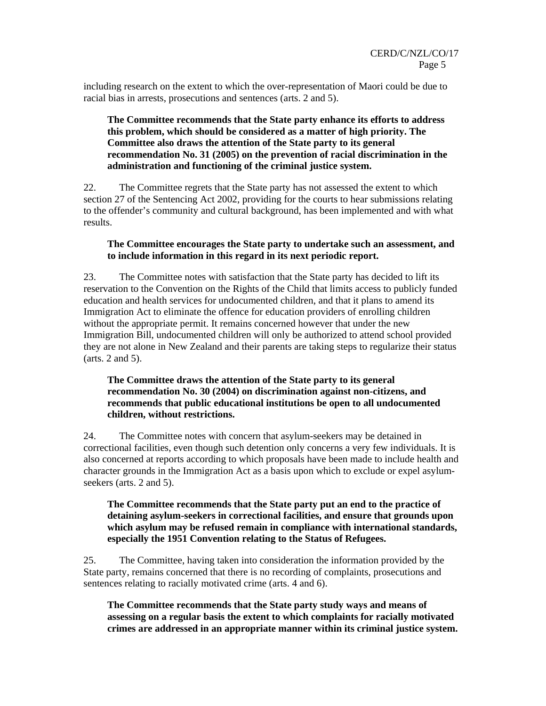including research on the extent to which the over-representation of Maori could be due to racial bias in arrests, prosecutions and sentences (arts. 2 and 5).

#### **The Committee recommends that the State party enhance its efforts to address this problem, which should be considered as a matter of high priority. The Committee also draws the attention of the State party to its general recommendation No. 31 (2005) on the prevention of racial discrimination in the administration and functioning of the criminal justice system.**

22. The Committee regrets that the State party has not assessed the extent to which section 27 of the Sentencing Act 2002, providing for the courts to hear submissions relating to the offender's community and cultural background, has been implemented and with what results.

#### **The Committee encourages the State party to undertake such an assessment, and to include information in this regard in its next periodic report.**

23. The Committee notes with satisfaction that the State party has decided to lift its reservation to the Convention on the Rights of the Child that limits access to publicly funded education and health services for undocumented children, and that it plans to amend its Immigration Act to eliminate the offence for education providers of enrolling children without the appropriate permit. It remains concerned however that under the new Immigration Bill, undocumented children will only be authorized to attend school provided they are not alone in New Zealand and their parents are taking steps to regularize their status (arts. 2 and 5).

# **The Committee draws the attention of the State party to its general recommendation No. 30 (2004) on discrimination against non-citizens, and recommends that public educational institutions be open to all undocumented children, without restrictions.**

24. The Committee notes with concern that asylum-seekers may be detained in correctional facilities, even though such detention only concerns a very few individuals. It is also concerned at reports according to which proposals have been made to include health and character grounds in the Immigration Act as a basis upon which to exclude or expel asylumseekers (arts. 2 and 5).

#### **The Committee recommends that the State party put an end to the practice of detaining asylum-seekers in correctional facilities, and ensure that grounds upon which asylum may be refused remain in compliance with international standards, especially the 1951 Convention relating to the Status of Refugees.**

25. The Committee, having taken into consideration the information provided by the State party, remains concerned that there is no recording of complaints, prosecutions and sentences relating to racially motivated crime (arts. 4 and 6).

**The Committee recommends that the State party study ways and means of assessing on a regular basis the extent to which complaints for racially motivated crimes are addressed in an appropriate manner within its criminal justice system.**